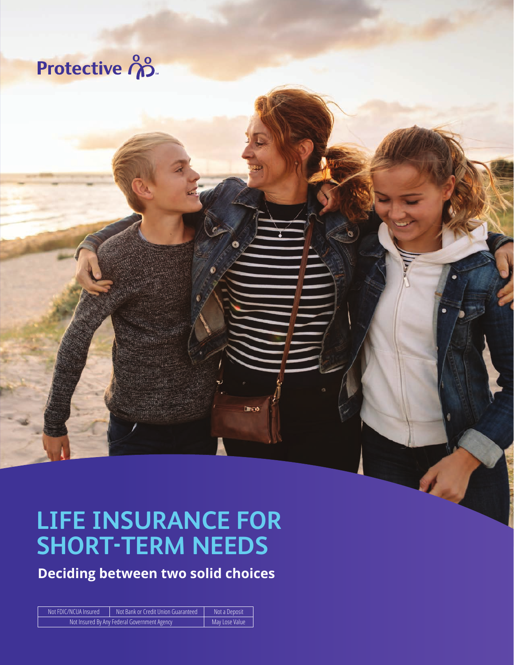# Protective ကို

## **LIFE INSURANCE FOR SHORT-TERM NEEDS**

**Drive** 

**Deciding between two solid choices**

| Not FDIC/NCUA Insured                        | Not Bank or Credit Union Guaranteed | Not a Deposit  |
|----------------------------------------------|-------------------------------------|----------------|
| Not Insured By Any Federal Government Agency |                                     | May Lose Value |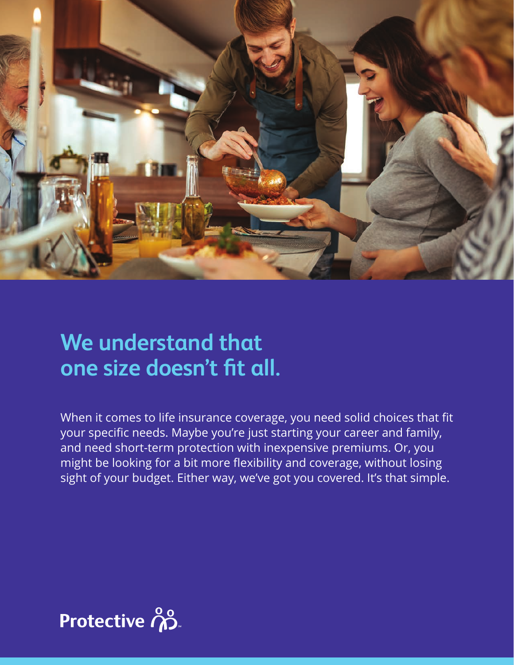

## **We understand that one size doesn't fit all.**

When it comes to life insurance coverage, you need solid choices that fit your specific needs. Maybe you're just starting your career and family, and need short-term protection with inexpensive premiums. Or, you might be looking for a bit more flexibility and coverage, without losing sight of your budget. Either way, we've got you covered. It's that simple.

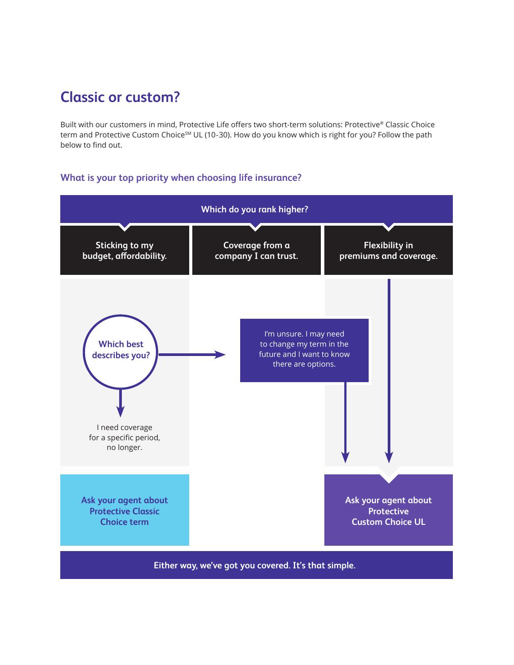### **Classic or custom?**

Built with our customers in mind, Protective Life offers two short-term solutions: Protective® Classic Choice term and Protective Custom Choice<sup>SM</sup> UL (10-30). How do you know which is right for you? Follow the path below to find out.

#### **What is your top priority when choosing life insurance?**

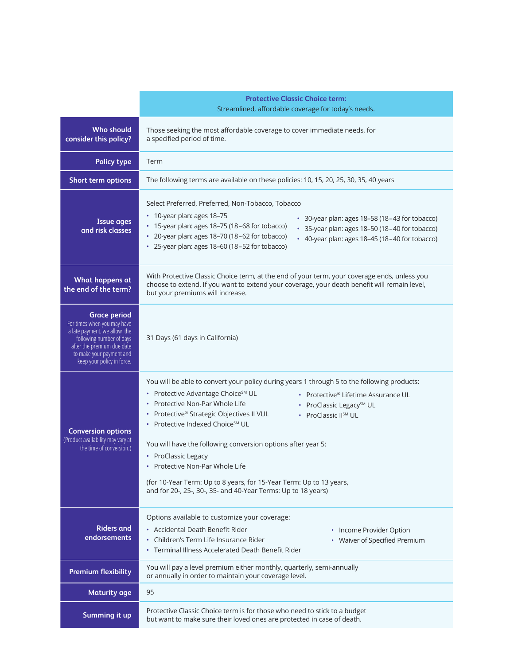|                                                                                                                                                                                                        | <b>Protective Classic Choice term:</b><br>Streamlined, affordable coverage for today's needs.                                                                                                                                                                                                                                                                                                                                                                                                                                                                                                                                                        |  |
|--------------------------------------------------------------------------------------------------------------------------------------------------------------------------------------------------------|------------------------------------------------------------------------------------------------------------------------------------------------------------------------------------------------------------------------------------------------------------------------------------------------------------------------------------------------------------------------------------------------------------------------------------------------------------------------------------------------------------------------------------------------------------------------------------------------------------------------------------------------------|--|
| <b>Who should</b><br>consider this policy?                                                                                                                                                             | Those seeking the most affordable coverage to cover immediate needs, for<br>a specified period of time.                                                                                                                                                                                                                                                                                                                                                                                                                                                                                                                                              |  |
| <b>Policy type</b>                                                                                                                                                                                     | Term                                                                                                                                                                                                                                                                                                                                                                                                                                                                                                                                                                                                                                                 |  |
| Short term options                                                                                                                                                                                     | The following terms are available on these policies: 10, 15, 20, 25, 30, 35, 40 years                                                                                                                                                                                                                                                                                                                                                                                                                                                                                                                                                                |  |
| <b>Issue ages</b><br>and risk classes                                                                                                                                                                  | Select Preferred, Preferred, Non-Tobacco, Tobacco<br>• 10-year plan: ages 18-75<br>• 30-year plan: ages 18-58 (18-43 for tobacco)<br>* 15-year plan: ages 18-75 (18-68 for tobacco)<br>* 35-year plan: ages 18-50 (18-40 for tobacco)<br>* 20-year plan: ages 18-70 (18-62 for tobacco)<br>• 40-year plan: ages 18-45 (18-40 for tobacco)<br>* 25-year plan: ages 18-60 (18-52 for tobacco)                                                                                                                                                                                                                                                          |  |
| What happens at<br>the end of the term?                                                                                                                                                                | With Protective Classic Choice term, at the end of your term, your coverage ends, unless you<br>choose to extend. If you want to extend your coverage, your death benefit will remain level,<br>but your premiums will increase.                                                                                                                                                                                                                                                                                                                                                                                                                     |  |
| <b>Grace period</b><br>For times when you may have<br>a late payment, we allow the<br>following number of days<br>after the premium due date<br>to make your payment and<br>keep your policy in force. | 31 Days (61 days in California)                                                                                                                                                                                                                                                                                                                                                                                                                                                                                                                                                                                                                      |  |
| <b>Conversion options</b><br>(Product availability may vary at<br>the time of conversion.)                                                                                                             | You will be able to convert your policy during years 1 through 5 to the following products:<br>• Protective Advantage Choice <sup>SM</sup> UL<br>Protective® Lifetime Assurance UL<br>• Protective Non-Par Whole Life<br>• ProClassic Legacy <sup>SM</sup> UL<br>• Protective® Strategic Objectives II VUL<br>• ProClassic IISM UL<br>• Protective Indexed Choice <sup>SM</sup> UL<br>You will have the following conversion options after year 5:<br>• ProClassic Legacy<br>• Protective Non-Par Whole Life<br>(for 10-Year Term: Up to 8 years, for 15-Year Term: Up to 13 years,<br>and for 20-, 25-, 30-, 35- and 40-Year Terms: Up to 18 years) |  |
| <b>Riders and</b><br>endorsements                                                                                                                                                                      | Options available to customize your coverage:<br>• Accidental Death Benefit Rider<br>• Income Provider Option<br>• Children's Term Life Insurance Rider<br>• Waiver of Specified Premium<br>• Terminal Illness Accelerated Death Benefit Rider                                                                                                                                                                                                                                                                                                                                                                                                       |  |
| <b>Premium flexibility</b>                                                                                                                                                                             | You will pay a level premium either monthly, quarterly, semi-annually<br>or annually in order to maintain your coverage level.                                                                                                                                                                                                                                                                                                                                                                                                                                                                                                                       |  |
| <b>Maturity age</b>                                                                                                                                                                                    | 95                                                                                                                                                                                                                                                                                                                                                                                                                                                                                                                                                                                                                                                   |  |
| Summing it up                                                                                                                                                                                          | Protective Classic Choice term is for those who need to stick to a budget<br>but want to make sure their loved ones are protected in case of death.                                                                                                                                                                                                                                                                                                                                                                                                                                                                                                  |  |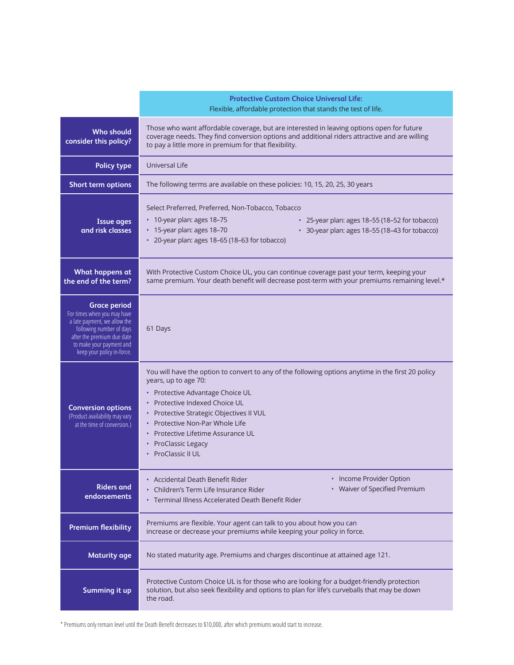|                                                                                                                                                                                                        | <b>Protective Custom Choice Universal Life:</b><br>Flexible, affordable protection that stands the test of life.                                                                                                                                                                                                                                                                |  |
|--------------------------------------------------------------------------------------------------------------------------------------------------------------------------------------------------------|---------------------------------------------------------------------------------------------------------------------------------------------------------------------------------------------------------------------------------------------------------------------------------------------------------------------------------------------------------------------------------|--|
| <b>Who should</b><br>consider this policy?                                                                                                                                                             | Those who want affordable coverage, but are interested in leaving options open for future<br>coverage needs. They find conversion options and additional riders attractive and are willing<br>to pay a little more in premium for that flexibility.                                                                                                                             |  |
| <b>Policy type</b>                                                                                                                                                                                     | Universal Life                                                                                                                                                                                                                                                                                                                                                                  |  |
| Short term options                                                                                                                                                                                     | The following terms are available on these policies: 10, 15, 20, 25, 30 years                                                                                                                                                                                                                                                                                                   |  |
| <b>Issue ages</b><br>and risk classes                                                                                                                                                                  | Select Preferred, Preferred, Non-Tobacco, Tobacco<br>• 10-year plan: ages 18-75<br>* 25-year plan: ages 18-55 (18-52 for tobacco)<br>* 15-year plan: ages 18-70<br>* 30-year plan: ages 18-55 (18-43 for tobacco)<br>* 20-year plan: ages 18-65 (18-63 for tobacco)                                                                                                             |  |
| What happens at<br>the end of the term?                                                                                                                                                                | With Protective Custom Choice UL, you can continue coverage past your term, keeping your<br>same premium. Your death benefit will decrease post-term with your premiums remaining level.*                                                                                                                                                                                       |  |
| <b>Grace period</b><br>For times when you may have<br>a late payment, we allow the<br>following number of days<br>after the premium due date<br>to make your payment and<br>keep your policy in-force. | 61 Days                                                                                                                                                                                                                                                                                                                                                                         |  |
| <b>Conversion options</b><br>(Product availability may vary<br>at the time of conversion.)                                                                                                             | You will have the option to convert to any of the following options anytime in the first 20 policy<br>years, up to age 70:<br>• Protective Advantage Choice UL<br>Protective Indexed Choice UL<br>Protective Strategic Objectives II VUL<br>٠<br>Protective Non-Par Whole Life<br>$\bullet$<br>Protective Lifetime Assurance UL<br><b>ProClassic Legacy</b><br>ProClassic II UL |  |
| <b>Riders and</b><br>endorsements                                                                                                                                                                      | • Income Provider Option<br>• Accidental Death Benefit Rider<br>• Waiver of Specified Premium<br>Children's Term Life Insurance Rider<br>• Terminal Illness Accelerated Death Benefit Rider                                                                                                                                                                                     |  |
| <b>Premium flexibility</b>                                                                                                                                                                             | Premiums are flexible. Your agent can talk to you about how you can<br>increase or decrease your premiums while keeping your policy in force.                                                                                                                                                                                                                                   |  |
| <b>Maturity age</b>                                                                                                                                                                                    | No stated maturity age. Premiums and charges discontinue at attained age 121.                                                                                                                                                                                                                                                                                                   |  |
| Summing it up                                                                                                                                                                                          | Protective Custom Choice UL is for those who are looking for a budget-friendly protection<br>solution, but also seek flexibility and options to plan for life's curveballs that may be down<br>the road.                                                                                                                                                                        |  |

\* Premiums only remain level until the Death Benefit decreases to \$10,000, after which premiums would start to increase.